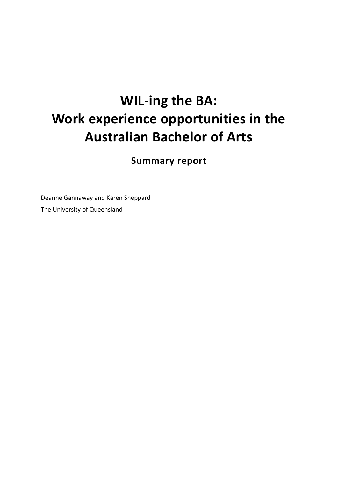# **WIL-ing the BA: Work experience opportunities in the Australian Bachelor of Arts**

**Summary report** 

Deanne Gannaway and Karen Sheppard The University of Queensland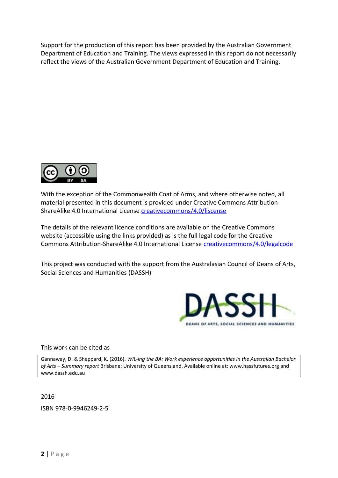Support for the production of this report has been provided by the Australian Government Department of Education and Training. The views expressed in this report do not necessarily reflect the views of the Australian Government Department of Education and Training.



With the exception of the Commonwealth Coat of Arms, and where otherwise noted, all material presented in this document is provided under Creative Commons Attribution-ShareAlike 4.0 International License [creativecommons/4.0/liscense](http://creativecommons.org/licenses/by-sa/4.0/)

The details of the relevant licence conditions are available on the Creative Commons website (accessible using the links provided) as is the full legal code for the Creative Commons Attribution-ShareAlike 4.0 International License [creativecommons/4.0/legalcode](http://creativecommons.org/licenses/by-sa/4.0/legalcode)

This project was conducted with the support from the Australasian Council of Deans of Arts, Social Sciences and Humanities (DASSH)



This work can be cited as

Gannaway, D. & Sheppard, K. (2016). *WIL-ing the BA: Work experience opportunities in the Australian Bachelor of Arts – Summary report* Brisbane: University of Queensland. Available online at: [www.hassfutures.org](http://www.hassfutures.org/) and [www.dassh.edu.au](http://www.dassh.edu.au/) 

2016

ISBN 978-0-9946249-2-5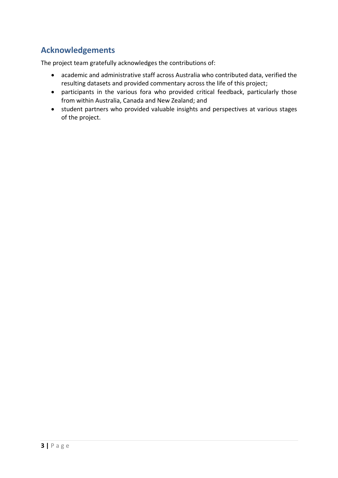# **Acknowledgements**

The project team gratefully acknowledges the contributions of:

- academic and administrative staff across Australia who contributed data, verified the resulting datasets and provided commentary across the life of this project;
- participants in the various fora who provided critical feedback, particularly those from within Australia, Canada and New Zealand; and
- student partners who provided valuable insights and perspectives at various stages of the project.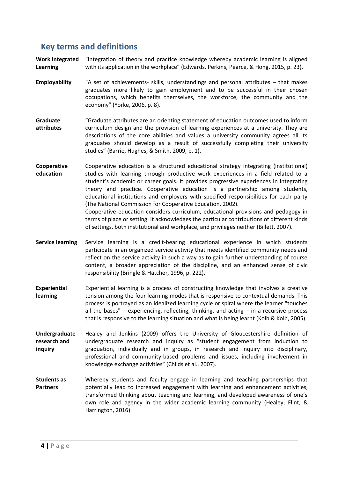## **Key terms and definitions**

**Work Integrated Learning**  "Integration of theory and practice knowledge whereby academic learning is aligned with its application in the workplace" (Edwards, Perkins, Pearce, & Hong, 2015, p. 23).

- **Employability** "A set of achievements- skills, understandings and personal attributes that makes graduates more likely to gain employment and to be successful in their chosen occupations, which benefits themselves, the workforce, the community and the economy" (Yorke, 2006, p. 8).
- **Graduate attributes**  "Graduate attributes are an orienting statement of education outcomes used to inform curriculum design and the provision of learning experiences at a university. They are descriptions of the core abilities and values a university community agrees all its graduates should develop as a result of successfully completing their university studies" (Barrie, Hughes, & Smith, 2009, p. 1).
- **Cooperative education**  Cooperative education is a structured educational strategy integrating (institutional) studies with learning through productive work experiences in a field related to a student's academic or career goals. It provides progressive experiences in integrating theory and practice. Cooperative education is a partnership among students, educational institutions and employers with specified responsibilities for each party (The National Commission for Cooperative Education, 2002). Cooperative education considers curriculum, educational provisions and pedagogy in terms of place or setting. It acknowledges the particular contributions of different kinds of settings, both institutional and workplace, and privileges neither (Billett, 2007).
- **Service learning** Service learning is a credit-bearing educational experience in which students participate in an organized service activity that meets identified community needs and reflect on the service activity in such a way as to gain further understanding of course content, a broader appreciation of the discipline, and an enhanced sense of civic responsibility (Bringle & Hatcher, 1996, p. 222).
- **Experiential learning**  Experiential learning is a process of constructing knowledge that involves a creative tension among the four learning modes that is responsive to contextual demands. This process is portrayed as an idealized learning cycle or spiral where the learner "touches all the bases" – experiencing, reflecting, thinking, and acting  $-$  in a recursive process that is responsive to the learning situation and what is being learnt (Kolb & Kolb, 2005).
- **Undergraduate research and inquiry**  Healey and Jenkins (2009) offers the University of Gloucestershire definition of undergraduate research and inquiry as "student engagement from induction to graduation, individually and in groups, in research and inquiry into disciplinary, professional and community-based problems and issues, including involvement in knowledge exchange activities" (Childs et al., 2007).
- **Students as Partners**  Whereby students and faculty engage in learning and teaching partnerships that potentially lead to increased engagement with learning and enhancement activities, transformed thinking about teaching and learning, and developed awareness of one's own role and agency in the wider academic learning community (Healey, Flint, & Harrington, 2016).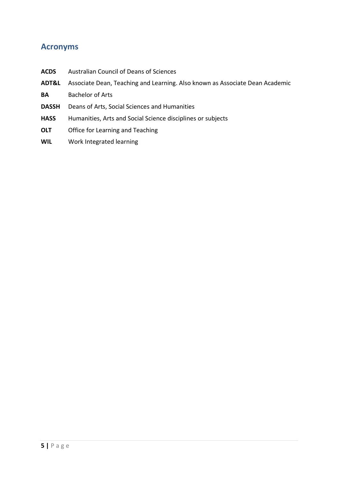## **Acronyms**

- **ACDS** Australian Council of Deans of Sciences **ADT&L** Associate Dean, Teaching and Learning. Also known as Associate Dean Academic **BA** Bachelor of Arts **DASSH** Deans of Arts, Social Sciences and Humanities **HASS** Humanities, Arts and Social Science disciplines or subjects **OLT** Office for Learning and Teaching
- **WIL** Work Integrated learning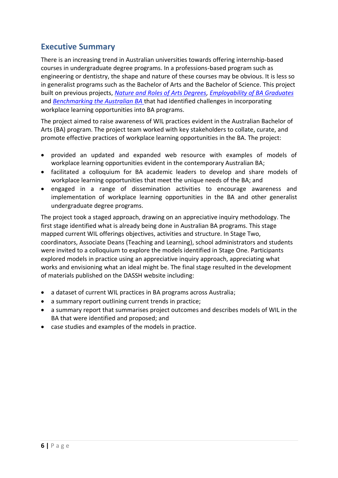# **Executive Summary**

There is an increasing trend in Australian universities towards offering internship-based courses in undergraduate degree programs. In a professions-based program such as engineering or dentistry, the shape and nature of these courses may be obvious. It is less so in generalist programs such as the Bachelor of Arts and the Bachelor of Science. This project built on previous projects, *[Nature and Roles of Arts Degrees,](http://www.olt.gov.au/project-nature-roles-arts-degrees-flinders-2006) [Employability of BA Graduates](http://www.olt.gov.au/project-employability-arts-graduates-adelaide-2009)* and *[Benchmarking the Australian BA](http://www.dassh.edu.au/ba_benchmarking_project)* that had identified challenges in incorporating workplace learning opportunities into BA programs.

The project aimed to raise awareness of WIL practices evident in the Australian Bachelor of Arts (BA) program. The project team worked with key stakeholders to collate, curate, and promote effective practices of workplace learning opportunities in the BA. The project:

- provided an updated and expanded web resource with examples of models of workplace learning opportunities evident in the contemporary Australian BA;
- facilitated a colloquium for BA academic leaders to develop and share models of workplace learning opportunities that meet the unique needs of the BA; and
- engaged in a range of dissemination activities to encourage awareness and implementation of workplace learning opportunities in the BA and other generalist undergraduate degree programs.

The project took a staged approach, drawing on an appreciative inquiry methodology. The first stage identified what is already being done in Australian BA programs. This stage mapped current WIL offerings objectives, activities and structure. In Stage Two, coordinators, Associate Deans (Teaching and Learning), school administrators and students were invited to a colloquium to explore the models identified in Stage One. Participants explored models in practice using an appreciative inquiry approach, appreciating what works and envisioning what an ideal might be. The final stage resulted in the development of materials published on the DASSH website including:

- a dataset of current WIL practices in BA programs across Australia;
- a summary report outlining current trends in practice;
- a summary report that summarises project outcomes and describes models of WIL in the BA that were identified and proposed; and
- case studies and examples of the models in practice.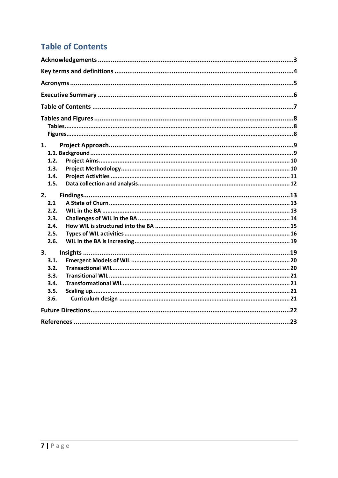# **Table of Contents**

| 1.   |  |  |  |  |
|------|--|--|--|--|
|      |  |  |  |  |
| 1.2. |  |  |  |  |
| 1.3. |  |  |  |  |
| 1.4. |  |  |  |  |
| 1.5. |  |  |  |  |
| 2.   |  |  |  |  |
| 2.1  |  |  |  |  |
| 2.2. |  |  |  |  |
| 2.3. |  |  |  |  |
| 2.4. |  |  |  |  |
| 2.5. |  |  |  |  |
| 2.6. |  |  |  |  |
| 3.   |  |  |  |  |
| 3.1. |  |  |  |  |
| 3.2. |  |  |  |  |
| 3.3. |  |  |  |  |
| 3.4. |  |  |  |  |
| 3.5. |  |  |  |  |
| 3.6. |  |  |  |  |
|      |  |  |  |  |
|      |  |  |  |  |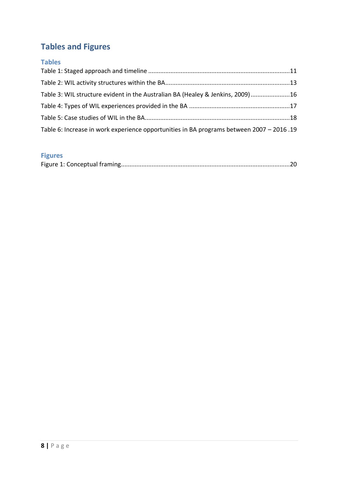# **Tables and Figures**

#### **Tables**

| Table 3: WIL structure evident in the Australian BA (Healey & Jenkins, 2009)16           |  |
|------------------------------------------------------------------------------------------|--|
|                                                                                          |  |
|                                                                                          |  |
| Table 6: Increase in work experience opportunities in BA programs between 2007 - 2016.19 |  |

# **Figures**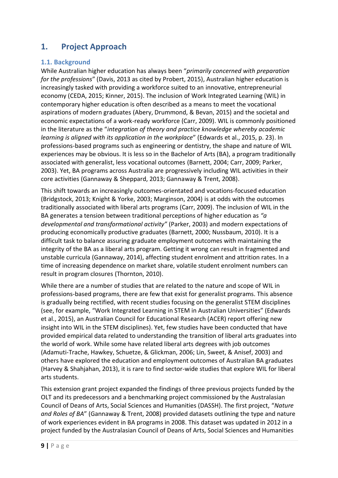# **1. Project Approach**

#### **1.1. Background**

While Australian higher education has always been "*primarily concerned with preparation for the professions*" (Davis, 2013 as cited by Probert, 2015), Australian higher education is increasingly tasked with providing a workforce suited to an innovative, entrepreneurial economy (CEDA, 2015; Kinner, 2015). The inclusion of Work Integrated Learning (WIL) in contemporary higher education is often described as a means to meet the vocational aspirations of modern graduates (Abery, Drummond, & Bevan, 2015) and the societal and economic expectations of a work-ready workforce (Carr, 2009). WIL is commonly positioned in the literature as the "*integration of theory and practice knowledge whereby academic learning is aligned with its application in the workplace*" (Edwards et al., 2015, p. 23). In professions-based programs such as engineering or dentistry, the shape and nature of WIL experiences may be obvious. It is less so in the Bachelor of Arts (BA), a program traditionally associated with generalist, less vocational outcomes (Barnett, 2004; Carr, 2009; Parker, 2003). Yet, BA programs across Australia are progressively including WIL activities in their core activities (Gannaway & Sheppard, 2013; Gannaway & Trent, 2008).

This shift towards an increasingly outcomes-orientated and vocations-focused education (Bridgstock, 2013; Knight & Yorke, 2003; Marginson, 2004) is at odds with the outcomes traditionally associated with liberal arts programs (Carr, 2009). The inclusion of WIL in the BA generates a tension between traditional perceptions of higher education as *"a developmental and transformational activity"* (Parker, 2003) and modern expectations of producing economically productive graduates (Barnett, 2000; Nussbaum, 2010). It is a difficult task to balance assuring graduate employment outcomes with maintaining the integrity of the BA as a liberal arts program. Getting it wrong can result in fragmented and unstable curricula (Gannaway, 2014), affecting student enrolment and attrition rates. In a time of increasing dependence on market share, volatile student enrolment numbers can result in program closures (Thornton, 2010).

While there are a number of studies that are related to the nature and scope of WIL in professions-based programs, there are few that exist for generalist programs. This absence is gradually being rectified, with recent studies focusing on the generalist STEM disciplines (see, for example, "Work Integrated Learning in STEM in Australian Universities" (Edwards et al., 2015), an Australian Council for Educational Research (ACER) report offering new insight into WIL in the STEM disciplines). Yet, few studies have been conducted that have provided empirical data related to understanding the transition of liberal arts graduates into the world of work. While some have related liberal arts degrees with job outcomes (Adamuti-Trache, Hawkey, Schuetze, & Glickman, 2006; Lin, Sweet, & Anisef, 2003) and others have explored the education and employment outcomes of Australian BA graduates (Harvey & Shahjahan, 2013), it is rare to find sector-wide studies that explore WIL for liberal arts students.

This extension grant project expanded the findings of three previous projects funded by the OLT and its predecessors and a benchmarking project commissioned by the Australasian Council of Deans of Arts, Social Sciences and Humanities (DASSH). The first project, "*Nature and Roles of BA*" (Gannaway & Trent, 2008) provided datasets outlining the type and nature of work experiences evident in BA programs in 2008. This dataset was updated in 2012 in a project funded by the Australasian Council of Deans of Arts, Social Sciences and Humanities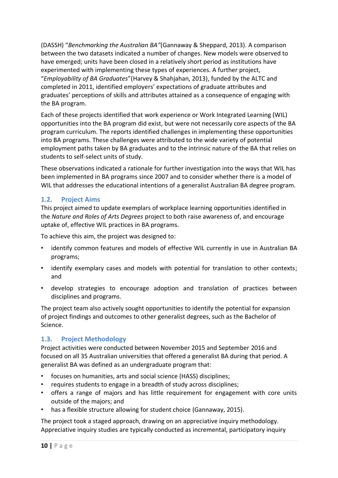(DASSH) "*Benchmarking the Australian BA"*(Gannaway & Sheppard, 2013). A comparison between the two datasets indicated a number of changes. New models were observed to have emerged; units have been closed in a relatively short period as institutions have experimented with implementing these types of experiences. A further project, "*Employability of BA Graduates*"(Harvey & Shahjahan, 2013), funded by the ALTC and completed in 2011, identified employers' expectations of graduate attributes and graduates' perceptions of skills and attributes attained as a consequence of engaging with the BA program.

Each of these projects identified that work experience or Work Integrated Learning (WIL) opportunities into the BA program did exist, but were not necessarily core aspects of the BA program curriculum. The reports identified challenges in implementing these opportunities into BA programs. These challenges were attributed to the wide variety of potential employment paths taken by BA graduates and to the intrinsic nature of the BA that relies on students to self-select units of study.

These observations indicated a rationale for further investigation into the ways that WIL has been implemented in BA programs since 2007 and to consider whether there is a model of WIL that addresses the educational intentions of a generalist Australian BA degree program.

#### **1.2. Project Aims**

This project aimed to update exemplars of workplace learning opportunities identified in the *Nature and Roles of Arts Degrees* project to both raise awareness of, and encourage uptake of, effective WIL practices in BA programs.

To achieve this aim, the project was designed to:

- identify common features and models of effective WIL currently in use in Australian BA programs;
- identify exemplary cases and models with potential for translation to other contexts; and
- develop strategies to encourage adoption and translation of practices between disciplines and programs.

The project team also actively sought opportunities to identify the potential for expansion of project findings and outcomes to other generalist degrees, such as the Bachelor of Science.

#### **1.3. Project Methodology**

Project activities were conducted between November 2015 and September 2016 and focused on all 35 Australian universities that offered a generalist BA during that period. A generalist BA was defined as an undergraduate program that:

- focuses on humanities, arts and social science (HASS) disciplines;
- requires students to engage in a breadth of study across disciplines;
- offers a range of majors and has little requirement for engagement with core units outside of the majors; and
- has a flexible structure allowing for student choice (Gannaway, 2015).

The project took a staged approach, drawing on an appreciative inquiry methodology. Appreciative inquiry studies are typically conducted as incremental, participatory inquiry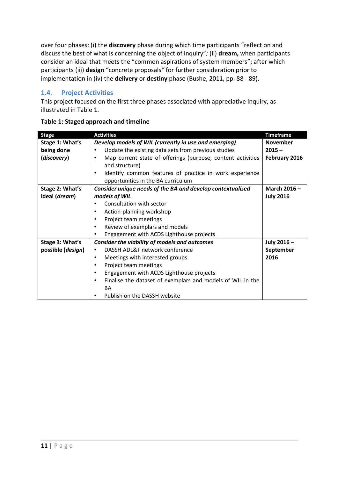over four phases: (i) the **discovery** phase during which time participants "reflect on and discuss the best of what is concerning the object of inquiry"*;* (ii) **dream,** when participants consider an ideal that meets the "common aspirations of system members"; after which participants (iii) **design** "concrete proposals*"* for further consideration prior to implementation in (iv) the **delivery** or **destiny** phase (Bushe, 2011, pp. 88 - 89).

#### **1.4. Project Activities**

This project focused on the first three phases associated with appreciative inquiry, as illustrated in [Table 1.](#page-10-0)

| <b>Stage</b>               | <b>Activities</b>                                                        | <b>Timeframe</b> |
|----------------------------|--------------------------------------------------------------------------|------------------|
| Stage 1: What's            | Develop models of WIL (currently in use and emerging)                    | <b>November</b>  |
| being done                 | Update the existing data sets from previous studies<br>$\bullet$         | $2015 -$         |
| (discovery)                | Map current state of offerings (purpose, content activities<br>$\bullet$ | February 2016    |
|                            | and structure)                                                           |                  |
|                            | Identify common features of practice in work experience<br>$\bullet$     |                  |
|                            | opportunities in the BA curriculum                                       |                  |
| Stage 2: What's            | Consider unique needs of the BA and develop contextualised               | March 2016-      |
| ideal (dream)              | models of WIL                                                            | <b>July 2016</b> |
|                            | Consultation with sector<br>$\bullet$                                    |                  |
|                            | Action-planning workshop<br>$\bullet$                                    |                  |
|                            | Project team meetings<br>$\bullet$                                       |                  |
|                            | Review of exemplars and models<br>$\bullet$                              |                  |
|                            | Engagement with ACDS Lighthouse projects<br>$\bullet$                    |                  |
| Stage 3: What's            | Consider the viability of models and outcomes                            | July 2016-       |
| possible ( <i>design</i> ) | DASSH ADL&T network conference<br>$\bullet$                              | September        |
|                            | Meetings with interested groups<br>$\bullet$                             | 2016             |
|                            | Project team meetings<br>$\bullet$                                       |                  |
|                            | Engagement with ACDS Lighthouse projects<br>$\bullet$                    |                  |
|                            | Finalise the dataset of exemplars and models of WIL in the<br>$\bullet$  |                  |
|                            | BA                                                                       |                  |
|                            | Publish on the DASSH website<br>$\bullet$                                |                  |

#### <span id="page-10-0"></span>**Table 1: Staged approach and timeline**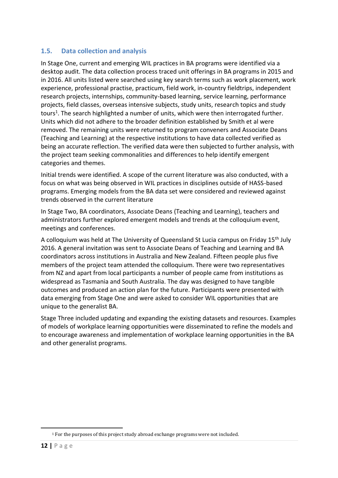#### **1.5. Data collection and analysis**

In Stage One, current and emerging WIL practices in BA programs were identified via a desktop audit. The data collection process traced unit offerings in BA programs in 2015 and in 2016. All units listed were searched using key search terms such as work placement, work experience, professional practise, practicum, field work, in-country fieldtrips, independent research projects, internships, community-based learning, service learning, performance projects, field classes, overseas intensive subjects, study units, research topics and study tours<sup>1</sup>. The search highlighted a number of units, which were then interrogated further. Units which did not adhere to the broader definition established by Smith et al were removed. The remaining units were returned to program conveners and Associate Deans (Teaching and Learning) at the respective institutions to have data collected verified as being an accurate reflection. The verified data were then subjected to further analysis, with the project team seeking commonalities and differences to help identify emergent categories and themes.

Initial trends were identified. A scope of the current literature was also conducted, with a focus on what was being observed in WIL practices in disciplines outside of HASS-based programs. Emerging models from the BA data set were considered and reviewed against trends observed in the current literature

In Stage Two, BA coordinators, Associate Deans (Teaching and Learning), teachers and administrators further explored emergent models and trends at the colloquium event, meetings and conferences.

A colloquium was held at The University of Queensland St Lucia campus on Friday 15th July 2016. A general invitation was sent to Associate Deans of Teaching and Learning and BA coordinators across institutions in Australia and New Zealand. Fifteen people plus five members of the project team attended the colloquium. There were two representatives from NZ and apart from local participants a number of people came from institutions as widespread as Tasmania and South Australia. The day was designed to have tangible outcomes and produced an action plan for the future. Participants were presented with data emerging from Stage One and were asked to consider WIL opportunities that are unique to the generalist BA.

Stage Three included updating and expanding the existing datasets and resources. Examples of models of workplace learning opportunities were disseminated to refine the models and to encourage awareness and implementation of workplace learning opportunities in the BA and other generalist programs.

 $\overline{a}$ 

<sup>1</sup> For the purposes of this project study abroad exchange programs were not included.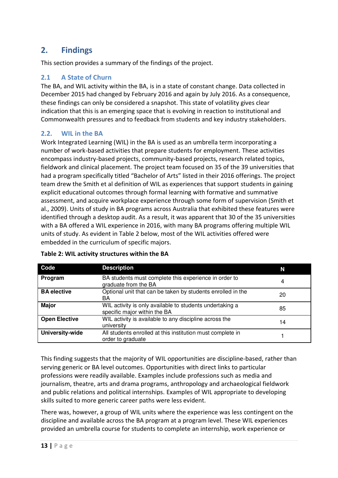# **2. Findings**

This section provides a summary of the findings of the project.

#### **2.1 A State of Churn**

The BA, and WIL activity within the BA, is in a state of constant change. Data collected in December 2015 had changed by February 2016 and again by July 2016. As a consequence, these findings can only be considered a snapshot. This state of volatility gives clear indication that this is an emerging space that is evolving in reaction to institutional and Commonwealth pressures and to feedback from students and key industry stakeholders.

#### **2.2. WIL in the BA**

Work Integrated Learning (WIL) in the BA is used as an umbrella term incorporating a number of work-based activities that prepare students for employment. These activities encompass industry-based projects, community-based projects, research related topics, fieldwork and clinical placement. The project team focused on 35 of the 39 universities that had a program specifically titled "Bachelor of Arts" listed in their 2016 offerings. The project team drew the Smith et al definition of WIL as experiences that support students in gaining explicit educational outcomes through formal learning with formative and summative assessment, and acquire workplace experience through some form of supervision (Smith et al., 2009). Units of study in BA programs across Australia that exhibited these features were identified through a desktop audit. As a result, it was apparent that 30 of the 35 universities with a BA offered a WIL experience in 2016, with many BA programs offering multiple WIL units of study. As evident in Table 2 below, most of the WIL activities offered were embedded in the curriculum of specific majors.

| Code                 | <b>Description</b>                                                                       | N  |
|----------------------|------------------------------------------------------------------------------------------|----|
| Program              | BA students must complete this experience in order to<br>graduate from the BA            | 4  |
| <b>BA</b> elective   | Optional unit that can be taken by students enrolled in the<br>BA                        | 20 |
| <b>Major</b>         | WIL activity is only available to students undertaking a<br>specific major within the BA | 85 |
| <b>Open Elective</b> | WIL activity is available to any discipline across the<br>university                     | 14 |
| University-wide      | All students enrolled at this institution must complete in<br>order to graduate          |    |

#### **Table 2: WIL activity structures within the BA**

This finding suggests that the majority of WIL opportunities are discipline-based, rather than serving generic or BA level outcomes. Opportunities with direct links to particular professions were readily available. Examples include professions such as media and journalism, theatre, arts and drama programs, anthropology and archaeological fieldwork and public relations and political internships. Examples of WIL appropriate to developing skills suited to more generic career paths were less evident.

There was, however, a group of WIL units where the experience was less contingent on the discipline and available across the BA program at a program level. These WIL experiences provided an umbrella course for students to complete an internship, work experience or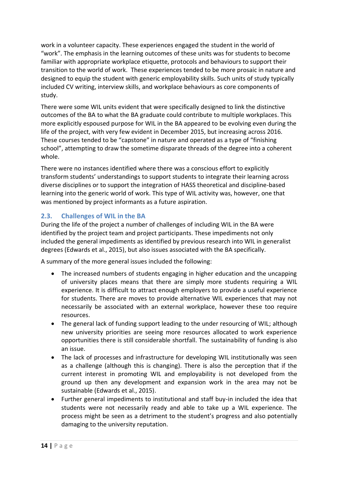work in a volunteer capacity. These experiences engaged the student in the world of "work". The emphasis in the learning outcomes of these units was for students to become familiar with appropriate workplace etiquette, protocols and behaviours to support their transition to the world of work. These experiences tended to be more prosaic in nature and designed to equip the student with generic employability skills. Such units of study typically included CV writing, interview skills, and workplace behaviours as core components of study.

There were some WIL units evident that were specifically designed to link the distinctive outcomes of the BA to what the BA graduate could contribute to multiple workplaces. This more explicitly espoused purpose for WIL in the BA appeared to be evolving even during the life of the project, with very few evident in December 2015, but increasing across 2016. These courses tended to be "capstone" in nature and operated as a type of "finishing school", attempting to draw the sometime disparate threads of the degree into a coherent whole.

There were no instances identified where there was a conscious effort to explicitly transform students' understandings to support students to integrate their learning across diverse disciplines or to support the integration of HASS theoretical and discipline-based learning into the generic world of work. This type of WIL activity was, however, one that was mentioned by project informants as a future aspiration.

#### **2.3. Challenges of WIL in the BA**

During the life of the project a number of challenges of including WIL in the BA were identified by the project team and project participants. These impediments not only included the general impediments as identified by previous research into WIL in generalist degrees (Edwards et al., 2015), but also issues associated with the BA specifically.

A summary of the more general issues included the following:

- The increased numbers of students engaging in higher education and the uncapping of university places means that there are simply more students requiring a WIL experience. It is difficult to attract enough employers to provide a useful experience for students. There are moves to provide alternative WIL experiences that may not necessarily be associated with an external workplace, however these too require resources.
- The general lack of funding support leading to the under resourcing of WIL; although new university priorities are seeing more resources allocated to work experience opportunities there is still considerable shortfall. The sustainability of funding is also an issue.
- The lack of processes and infrastructure for developing WIL institutionally was seen as a challenge (although this is changing). There is also the perception that if the current interest in promoting WIL and employability is not developed from the ground up then any development and expansion work in the area may not be sustainable (Edwards et al., 2015).
- Further general impediments to institutional and staff buy-in included the idea that students were not necessarily ready and able to take up a WIL experience. The process might be seen as a detriment to the student's progress and also potentially damaging to the university reputation.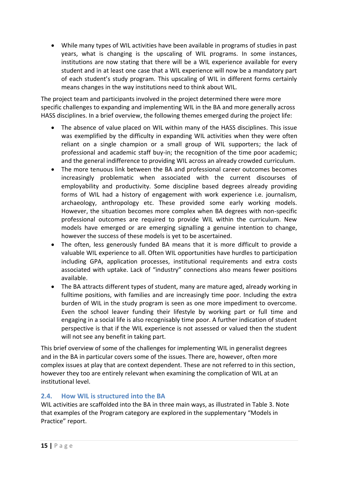• While many types of WIL activities have been available in programs of studies in past years, what is changing is the upscaling of WIL programs. In some instances, institutions are now stating that there will be a WIL experience available for every student and in at least one case that a WIL experience will now be a mandatory part of each student's study program. This upscaling of WIL in different forms certainly means changes in the way institutions need to think about WIL.

The project team and participants involved in the project determined there were more specific challenges to expanding and implementing WIL in the BA and more generally across HASS disciplines. In a brief overview, the following themes emerged during the project life:

- The absence of value placed on WIL within many of the HASS disciplines. This issue was exemplified by the difficulty in expanding WIL activities when they were often reliant on a single champion or a small group of WIL supporters; the lack of professional and academic staff buy-in; the recognition of the time poor academic; and the general indifference to providing WIL across an already crowded curriculum.
- The more tenuous link between the BA and professional career outcomes becomes increasingly problematic when associated with the current discourses of employability and productivity. Some discipline based degrees already providing forms of WIL had a history of engagement with work experience i.e. journalism, archaeology, anthropology etc. These provided some early working models. However, the situation becomes more complex when BA degrees with non-specific professional outcomes are required to provide WIL within the curriculum. New models have emerged or are emerging signalling a genuine intention to change, however the success of these models is yet to be ascertained.
- The often, less generously funded BA means that it is more difficult to provide a valuable WIL experience to all. Often WIL opportunities have hurdles to participation including GPA, application processes, institutional requirements and extra costs associated with uptake. Lack of "industry" connections also means fewer positions available.
- The BA attracts different types of student, many are mature aged, already working in fulltime positions, with families and are increasingly time poor. Including the extra burden of WIL in the study program is seen as one more impediment to overcome. Even the school leaver funding their lifestyle by working part or full time and engaging in a social life is also recognisably time poor. A further indication of student perspective is that if the WIL experience is not assessed or valued then the student will not see any benefit in taking part.

This brief overview of some of the challenges for implementing WIL in generalist degrees and in the BA in particular covers some of the issues. There are, however, often more complex issues at play that are context dependent. These are not referred to in this section, however they too are entirely relevant when examining the complication of WIL at an institutional level.

#### **2.4. How WIL is structured into the BA**

WIL activities are scaffolded into the BA in three main ways, as illustrated in [Table 3.](#page-15-0) Note that examples of the Program category are explored in the supplementary "Models in Practice" report.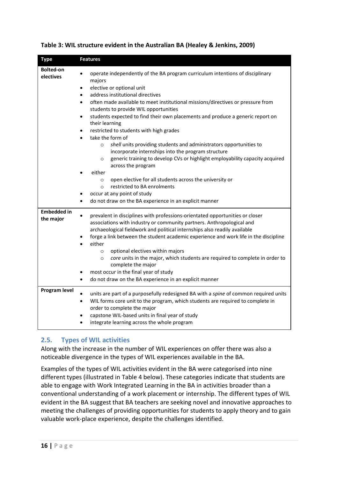| <b>Type</b>                     | <b>Features</b>                                                                                                                                                                                                                                                                                                                                                                                                                                                                                                                                                                                                                                                                                                                                                                                                                                                                                                                                                                        |
|---------------------------------|----------------------------------------------------------------------------------------------------------------------------------------------------------------------------------------------------------------------------------------------------------------------------------------------------------------------------------------------------------------------------------------------------------------------------------------------------------------------------------------------------------------------------------------------------------------------------------------------------------------------------------------------------------------------------------------------------------------------------------------------------------------------------------------------------------------------------------------------------------------------------------------------------------------------------------------------------------------------------------------|
| <b>Bolted-on</b><br>electives   | operate independently of the BA program curriculum intentions of disciplinary<br>majors<br>elective or optional unit<br>$\bullet$<br>address institutional directives<br>$\bullet$<br>often made available to meet institutional missions/directives or pressure from<br>$\bullet$<br>students to provide WIL opportunities<br>students expected to find their own placements and produce a generic report on<br>$\bullet$<br>their learning<br>restricted to students with high grades<br>take the form of<br>shell units providing students and administrators opportunities to<br>$\circ$<br>incorporate internships into the program structure<br>generic training to develop CVs or highlight employability capacity acquired<br>$\circ$<br>across the program<br>either<br>open elective for all students across the university or<br>$\circ$<br>restricted to BA enrolments<br>$\circ$<br>occur at any point of study<br>do not draw on the BA experience in an explicit manner |
| <b>Embedded in</b><br>the major | prevalent in disciplines with professions-orientated opportunities or closer<br>$\bullet$<br>associations with industry or community partners. Anthropological and<br>archaeological fieldwork and political internships also readily available<br>forge a link between the student academic experience and work life in the discipline<br>either<br>optional electives within majors<br>$\circ$<br>core units in the major, which students are required to complete in order to<br>$\circ$<br>complete the major<br>most occur in the final year of study<br>do not draw on the BA experience in an explicit manner                                                                                                                                                                                                                                                                                                                                                                   |
| Program level                   | units are part of a purposefully redesigned BA with a spine of common required units<br>WIL forms core unit to the program, which students are required to complete in<br>$\bullet$<br>order to complete the major<br>capstone WIL-based units in final year of study<br>integrate learning across the whole program                                                                                                                                                                                                                                                                                                                                                                                                                                                                                                                                                                                                                                                                   |

#### <span id="page-15-0"></span>**Table 3: WIL structure evident in the Australian BA (Healey & Jenkins, 2009)**

#### **2.5. Types of WIL activities**

Along with the increase in the number of WIL experiences on offer there was also a noticeable divergence in the types of WIL experiences available in the BA.

Examples of the types of WIL activities evident in the BA were categorised into nine different types (illustrated in [Table 4](#page-16-0) below). These categories indicate that students are able to engage with Work Integrated Learning in the BA in activities broader than a conventional understanding of a work placement or internship. The different types of WIL evident in the BA suggest that BA teachers are seeking novel and innovative approaches to meeting the challenges of providing opportunities for students to apply theory and to gain valuable work-place experience, despite the challenges identified.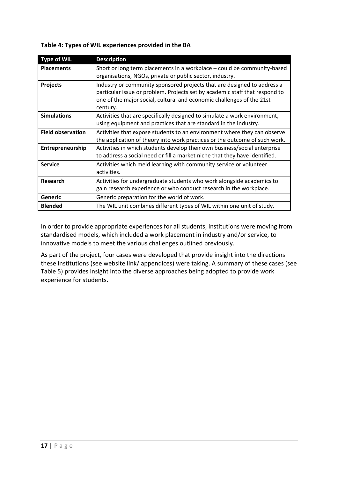#### <span id="page-16-0"></span>**Table 4: Types of WIL experiences provided in the BA**

| <b>Type of WIL</b>       | <b>Description</b>                                                                                                                                                                                                                          |
|--------------------------|---------------------------------------------------------------------------------------------------------------------------------------------------------------------------------------------------------------------------------------------|
| <b>Placements</b>        | Short or long term placements in a workplace - could be community-based<br>organisations, NGOs, private or public sector, industry.                                                                                                         |
| <b>Projects</b>          | Industry or community sponsored projects that are designed to address a<br>particular issue or problem. Projects set by academic staff that respond to<br>one of the major social, cultural and economic challenges of the 21st<br>century. |
| <b>Simulations</b>       | Activities that are specifically designed to simulate a work environment,<br>using equipment and practices that are standard in the industry.                                                                                               |
| <b>Field observation</b> | Activities that expose students to an environment where they can observe<br>the application of theory into work practices or the outcome of such work.                                                                                      |
| Entrepreneurship         | Activities in which students develop their own business/social enterprise<br>to address a social need or fill a market niche that they have identified.                                                                                     |
| <b>Service</b>           | Activities which meld learning with community service or volunteer<br>activities.                                                                                                                                                           |
| Research                 | Activities for undergraduate students who work alongside academics to<br>gain research experience or who conduct research in the workplace.                                                                                                 |
| <b>Generic</b>           | Generic preparation for the world of work.                                                                                                                                                                                                  |
| <b>Blended</b>           | The WIL unit combines different types of WIL within one unit of study.                                                                                                                                                                      |

In order to provide appropriate experiences for all students, institutions were moving from standardised models, which included a work placement in industry and/or service, to innovative models to meet the various challenges outlined previously.

As part of the project, four cases were developed that provide insight into the directions these institutions (see website link/ appendices) were taking. A summary of these cases (see [Table 5\)](#page-17-0) provides insight into the diverse approaches being adopted to provide work experience for students.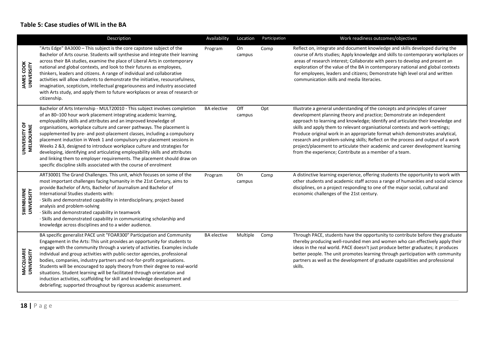#### **Table 5: Case studies of WIL in the BA**

<span id="page-17-0"></span>

|                                 | Description                                                                                                                                                                                                                                                                                                                                                                                                                                                                                                                                                                                                                                                                                                                                                  | Availability       | Location      | Participation | Work readiness outcomes/objectives                                                                                                                                                                                                                                                                                                                                                                                                                                                                                                                                                                                                      |
|---------------------------------|--------------------------------------------------------------------------------------------------------------------------------------------------------------------------------------------------------------------------------------------------------------------------------------------------------------------------------------------------------------------------------------------------------------------------------------------------------------------------------------------------------------------------------------------------------------------------------------------------------------------------------------------------------------------------------------------------------------------------------------------------------------|--------------------|---------------|---------------|-----------------------------------------------------------------------------------------------------------------------------------------------------------------------------------------------------------------------------------------------------------------------------------------------------------------------------------------------------------------------------------------------------------------------------------------------------------------------------------------------------------------------------------------------------------------------------------------------------------------------------------------|
| <b>JAMES COOK</b><br>UNIVERSITY | "Arts Edge" BA3000 - This subject is the core capstone subject of the<br>Bachelor of Arts course. Students will synthesise and integrate their learning<br>across their BA studies, examine the place of Liberal Arts in contemporary<br>national and global contexts, and look to their futures as employees,<br>thinkers, leaders and citizens. A range of individual and collaborative<br>activities will allow students to demonstrate the initiative, resourcefulness,<br>imagination, scepticism, intellectual gregariousness and industry associated<br>with Arts study, and apply them to future workplaces or areas of research or<br>citizenship.                                                                                                  | Program            | On<br>campus  | Comp          | Reflect on, integrate and document knowledge and skills developed during the<br>course of Arts studies; Apply knowledge and skills to contemporary workplaces or<br>areas of research interest; Collaborate with peers to develop and present an<br>exploration of the value of the BA in contemporary national and global contexts<br>for employees, leaders and citizens; Demonstrate high level oral and written<br>communication skills and media literacies.                                                                                                                                                                       |
| UNIVERSITY OF<br>MELBOURNE      | Bachelor of Arts Internship - MULT20010 - This subject involves completion<br>of an 80-100 hour work placement integrating academic learning,<br>employability skills and attributes and an improved knowledge of<br>organisations, workplace culture and career pathways. The placement is<br>supplemented by pre- and post-placement classes, including a compulsory<br>placement induction in Week 1 and compulsory pre-placement sessions in<br>Weeks 2 & 3, designed to introduce workplace culture and strategies for<br>developing, identifying and articulating employability skills and attributes<br>and linking them to employer requirements. The placement should draw on<br>specific discipline skills associated with the course of enrolment | <b>BA</b> elective | Off<br>campus | Opt           | Illustrate a general understanding of the concepts and principles of career<br>development planning theory and practice; Demonstrate an independent<br>approach to learning and knowledge; Identify and articulate their knowledge and<br>skills and apply them to relevant organisational contexts and work-settings;<br>Produce original work in an appropriate format which demonstrates analytical,<br>research and problem-solving skills; Reflect on the process and output of a work<br>project/placement to articulate their academic and career development learning<br>from the experience; Contribute as a member of a team. |
| SWINBURNE<br>UNIVERSITY         | ART30001 The Grand Challenges. This unit, which focuses on some of the<br>most important challenges facing humanity in the 21st Century, aims to<br>provide Bachelor of Arts, Bachelor of Journalism and Bachelor of<br>International Studies students with:<br>· Skills and demonstrated capability in interdisciplinary, project-based<br>analysis and problem-solving<br>· Skills and demonstrated capability in teamwork<br>· Skills and demonstrated capability in communicating scholarship and<br>knowledge across disciplines and to a wider audience.                                                                                                                                                                                               | Program            | On<br>campus  | Comp          | A distinctive learning experience, offering students the opportunity to work with<br>other students and academic staff across a range of humanities and social science<br>disciplines, on a project responding to one of the major social, cultural and<br>economic challenges of the 21st century.                                                                                                                                                                                                                                                                                                                                     |
| MACQUARIE<br>UNIVERSITY         | BA specific generalist PACE unit "FOAR300" Participation and Community<br>Engagement in the Arts: This unit provides an opportunity for students to<br>engage with the community through a variety of activities. Examples include<br>individual and group activities with public-sector agencies, professional<br>bodies, companies, industry partners and not-for-profit organisations.<br>Students will be encouraged to apply theory from their degree to real-world<br>situations. Student learning will be facilitated through orientation and<br>induction activities, scaffolding for skill and knowledge development and<br>debriefing; supported throughout by rigorous academic assessment.                                                       | <b>BA</b> elective | Multiple      | Comp          | Through PACE, students have the opportunity to contribute before they graduate<br>thereby producing well-rounded men and women who can effectively apply their<br>ideas in the real world. PACE doesn't just produce better graduates; it produces<br>better people. The unit promotes learning through participation with community<br>partners as well as the development of graduate capabilities and professional<br>skills.                                                                                                                                                                                                        |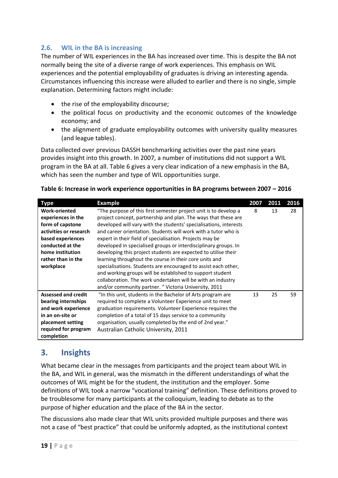#### **2.6. WIL in the BA is increasing**

The number of WIL experiences in the BA has increased over time. This is despite the BA not normally being the site of a diverse range of work experiences. This emphasis on WIL experiences and the potential employability of graduates is driving an interesting agenda. Circumstances influencing this increase were alluded to earlier and there is no single, simple explanation. Determining factors might include:

- the rise of the employability discourse;
- the political focus on productivity and the economic outcomes of the knowledge economy; and
- the alignment of graduate employability outcomes with university quality measures (and league tables).

Data collected over previous DASSH benchmarking activities over the past nine years provides insight into this growth. In 2007, a number of institutions did not support a WIL program in the BA at all. [Table 6](#page-18-0) gives a very clear indication of a new emphasis in the BA, which has seen the number and type of WIL opportunities surge.

#### <span id="page-18-0"></span>**Table 6: Increase in work experience opportunities in BA programs between 2007 – 2016**

| Type                                                                                                                                                                                     | <b>Example</b>                                                                                                                                                                                                                                                                                                                                                                                                                                                                                                                                                                                                                                                                                                                                                                             | 2007 | 2011 | 2016 |
|------------------------------------------------------------------------------------------------------------------------------------------------------------------------------------------|--------------------------------------------------------------------------------------------------------------------------------------------------------------------------------------------------------------------------------------------------------------------------------------------------------------------------------------------------------------------------------------------------------------------------------------------------------------------------------------------------------------------------------------------------------------------------------------------------------------------------------------------------------------------------------------------------------------------------------------------------------------------------------------------|------|------|------|
| <b>Work-oriented</b><br>experiences in the<br>form of capstone<br>activities or research<br>based experiences<br>conducted at the<br>home institution<br>rather than in the<br>workplace | "The purpose of this first semester project unit is to develop a<br>project concept, partnership and plan. The ways that these are<br>developed will vary with the students' specialisations, interests<br>and career orientation. Students will work with a tutor who is<br>expert in their field of specialisation. Projects may be<br>developed in specialised groups or interdisciplinary groups. In<br>developing this project students are expected to utilise their<br>learning throughout the course in their core units and<br>specialisations. Students are encouraged to assist each other,<br>and working groups will be established to support student<br>collaboration. The work undertaken will be with an industry<br>and/or community partner. "Victoria University, 2011 | 8    | 13   | 28   |
| <b>Assessed and credit</b><br>bearing internships<br>and work experience<br>in an on-site or<br>placement setting<br>required for program<br>completion                                  | "In this unit, students in the Bachelor of Arts program are<br>required to complete a Volunteer Experience unit to meet<br>graduation requirements. Volunteer Experience requires the<br>completion of a total of 15 days service to a community<br>organisation, usually completed by the end of 2nd year."<br>Australian Catholic University, 2011                                                                                                                                                                                                                                                                                                                                                                                                                                       | 13   | 25   | 59   |

# **3. Insights**

What became clear in the messages from participants and the project team about WIL in the BA, and WIL in general, was the mismatch in the different understandings of what the outcomes of WIL might be for the student, the institution and the employer. Some definitions of WIL took a narrow "vocational training" definition. These definitions proved to be troublesome for many participants at the colloquium, leading to debate as to the purpose of higher education and the place of the BA in the sector.

The discussions also made clear that WIL units provided multiple purposes and there was not a case of "best practice" that could be uniformly adopted, as the institutional context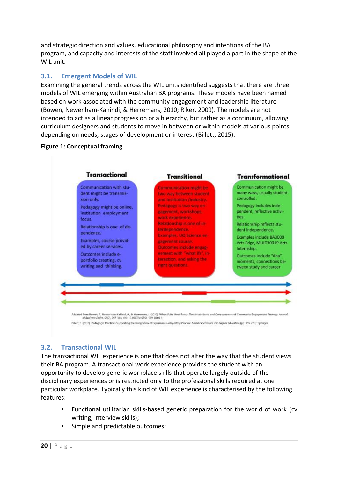and strategic direction and values, educational philosophy and intentions of the BA program, and capacity and interests of the staff involved all played a part in the shape of the WIL unit.

#### **3.1. Emergent Models of WIL**

Examining the general trends across the WIL units identified suggests that there are three models of WIL emerging within Australian BA programs. These models have been named based on work associated with the community engagement and leadership literature (Bowen, Newenham-Kahindi, & Herremans, 2010; Riker, 2009). The models are not intended to act as a linear progression or a hierarchy, but rather as a continuum, allowing curriculum designers and students to move in between or within models at various points, depending on needs, stages of development or interest (Billett, 2015).

#### **Figure 1: Conceptual framing**



#### **3.2. Transactional WIL**

The transactional WIL experience is one that does not alter the way that the student views their BA program. A transactional work experience provides the student with an opportunity to develop generic workplace skills that operate largely outside of the disciplinary experiences or is restricted only to the professional skills required at one particular workplace. Typically this kind of WIL experience is characterised by the following features:

- Functional utilitarian skills-based generic preparation for the world of work (cv writing, interview skills);
- Simple and predictable outcomes: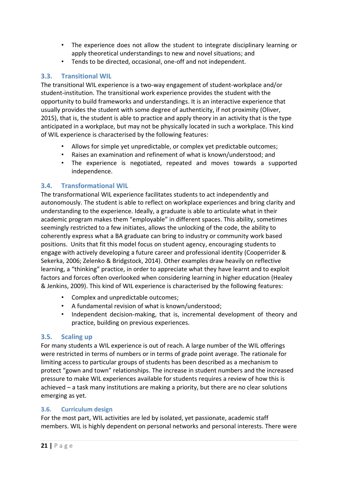- The experience does not allow the student to integrate disciplinary learning or apply theoretical understandings to new and novel situations; and
- Tends to be directed, occasional, one-off and not independent.

#### **3.3. Transitional WIL**

The transitional WIL experience is a two-way engagement of student-workplace and/or student-institution. The transitional work experience provides the student with the opportunity to build frameworks and understandings. It is an interactive experience that usually provides the student with some degree of authenticity, if not proximity (Oliver, 2015), that is, the student is able to practice and apply theory in an activity that is the type anticipated in a workplace, but may not be physically located in such a workplace. This kind of WIL experience is characterised by the following features:

- Allows for simple yet unpredictable, or complex yet predictable outcomes;
- Raises an examination and refinement of what is known/understood; and
- The experience is negotiated, repeated and moves towards a supported independence.

#### **3.4. Transformational WIL**

The transformational WIL experience facilitates students to act independently and autonomously. The student is able to reflect on workplace experiences and bring clarity and understanding to the experience. Ideally, a graduate is able to articulate what in their academic program makes them "employable" in different spaces. This ability, sometimes seemingly restricted to a few initiates, allows the unlocking of the code, the ability to coherently express what a BA graduate can bring to industry or community work based positions. Units that fit this model focus on student agency, encouraging students to engage with actively developing a future career and professional identity (Cooperrider & Sekerka, 2006; Zelenko & Bridgstock, 2014). Other examples draw heavily on reflective learning, a "thinking" practice, in order to appreciate what they have learnt and to exploit factors and forces often overlooked when considering learning in higher education (Healey & Jenkins, 2009). This kind of WIL experience is characterised by the following features:

- Complex and unpredictable outcomes;
- A fundamental revision of what is known/understood;
- Independent decision-making, that is, incremental development of theory and practice, building on previous experiences.

#### **3.5. Scaling up**

For many students a WIL experience is out of reach. A large number of the WIL offerings were restricted in terms of numbers or in terms of grade point average. The rationale for limiting access to particular groups of students has been described as a mechanism to protect "gown and town" relationships. The increase in student numbers and the increased pressure to make WIL experiences available for students requires a review of how this is achieved – a task many institutions are making a priority, but there are no clear solutions emerging as yet.

#### **3.6. Curriculum design**

For the most part, WIL activities are led by isolated, yet passionate, academic staff members. WIL is highly dependent on personal networks and personal interests. There were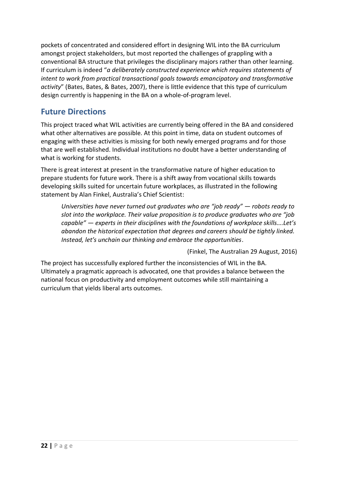pockets of concentrated and considered effort in designing WIL into the BA curriculum amongst project stakeholders, but most reported the challenges of grappling with a conventional BA structure that privileges the disciplinary majors rather than other learning. If curriculum is indeed "*a deliberately constructed experience which requires statements of intent to work from practical transactional goals towards emancipatory and transformative activity*" (Bates, Bates, & Bates, 2007), there is little evidence that this type of curriculum design currently is happening in the BA on a whole-of-program level.

# **Future Directions**

This project traced what WIL activities are currently being offered in the BA and considered what other alternatives are possible. At this point in time, data on student outcomes of engaging with these activities is missing for both newly emerged programs and for those that are well established. Individual institutions no doubt have a better understanding of what is working for students.

There is great interest at present in the transformative nature of higher education to prepare students for future work. There is a shift away from vocational skills towards developing skills suited for uncertain future workplaces, as illustrated in the following statement by Alan Finkel, Australia's Chief Scientist:

*Universities have never turned out graduates who are "job ready" — robots ready to slot into the workplace. Their value proposition is to produce graduates who are "job capable" — experts in their disciplines with the foundations of workplace skills….Let's abandon the historical expectation that degrees and careers should be tightly linked. Instead, let's unchain our thinking and embrace the opportunities*.

(Finkel, The Australian 29 August, 2016)

The project has successfully explored further the inconsistencies of WIL in the BA. Ultimately a pragmatic approach is advocated, one that provides a balance between the national focus on productivity and employment outcomes while still maintaining a curriculum that yields liberal arts outcomes.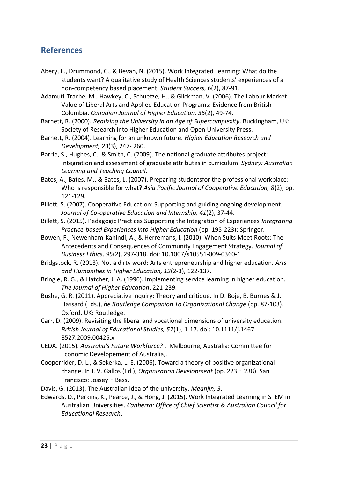# **References**

- Abery, E., Drummond, C., & Bevan, N. (2015). Work Integrated Learning: What do the students want? A qualitative study of Health Sciences students' experiences of a non-competency based placement. *Student Success, 6*(2), 87-91.
- Adamuti-Trache, M., Hawkey, C., Schuetze, H., & Glickman, V. (2006). The Labour Market Value of Liberal Arts and Applied Education Programs: Evidence from British Columbia. *Canadian Journal of Higher Education, 36*(2), 49-74.
- Barnett, R. (2000). *Realizing the University in an Age of Supercomplexity*. Buckingham, UK: Society of Research into Higher Education and Open University Press.
- Barnett, R. (2004). Learning for an unknown future. *Higher Education Research and Development, 23*(3), 247- 260.
- Barrie, S., Hughes, C., & Smith, C. (2009). The national graduate attributes project: Integration and assessment of graduate attributes in curriculum. *Sydney: Australian Learning and Teaching Council*.
- Bates, A., Bates, M., & Bates, L. (2007). Preparing studentsfor the professional workplace: Who is responsible for what? *Asia Pacific Journal of Cooperative Education, 8*(2), pp. 121-129.
- Billett, S. (2007). Cooperative Education: Supporting and guiding ongoing development. *Journal of Co-operative Education and Internship, 41*(2), 37-44.
- Billett, S. (2015). Pedagogic Practices Supporting the Integration of Experiences *Integrating Practice-based Experiences into Higher Education* (pp. 195-223): Springer.
- Bowen, F., Newenham-Kahindi, A., & Herremans, I. (2010). When Suits Meet Roots: The Antecedents and Consequences of Community Engagement Strategy. *Journal of Business Ethics, 95*(2), 297-318. doi: 10.1007/s10551-009-0360-1
- Bridgstock, R. (2013). Not a dirty word: Arts entrepreneurship and higher education. *Arts and Humanities in Higher Education, 12*(2-3), 122-137.
- Bringle, R. G., & Hatcher, J. A. (1996). Implementing service learning in higher education. *The Journal of Higher Education*, 221-239.
- Bushe, G. R. (2011). Appreciative inquiry: Theory and critique. In D. Boje, B. Burnes & J. Hassard (Eds.), *he Routledge Companion To Organizational Change* (pp. 87-103). Oxford, UK: Routledge.
- Carr, D. (2009). Revisiting the liberal and vocational dimensions of university education. *British Journal of Educational Studies, 57*(1), 1-17. doi: 10.1111/j.1467- 8527.2009.00425.x
- CEDA. (2015). *Australia's Future Workforce?* . Melbourne, Australia: Committee for Economic Developement of Australia,.
- Cooperrider, D. L., & Sekerka, L. E. (2006). Toward a theory of positive organizational change. In J. V. Gallos (Ed.), *Organization Development* (pp. 223‐238). San Francisco: Jossey - Bass.
- Davis, G. (2013). The Australian idea of the university. *Meanjin, 3*.
- Edwards, D., Perkins, K., Pearce, J., & Hong, J. (2015). Work Integrated Learning in STEM in Australian Universities. *Canberra: Office of Chief Scientist & Australian Council for Educational Research*.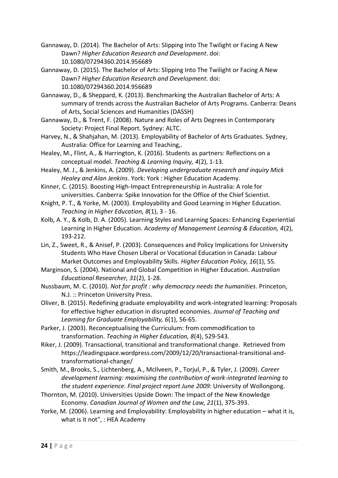- Gannaway, D. (2014). The Bachelor of Arts: Slipping Into The Twilight or Facing A New Dawn? *Higher Education Research and Development*. doi: 10.1080/07294360.2014.956689
- Gannaway, D. (2015). The Bachelor of Arts: Slipping Into The Twilight or Facing A New Dawn? *Higher Education Research and Development*. doi: 10.1080/07294360.2014.956689
- Gannaway, D., & Sheppard, K. (2013). Benchmarking the Australian Bachelor of Arts: A summary of trends across the Australian Bachelor of Arts Programs. Canberra: Deans of Arts, Social Sciences and Humanities (DASSH)
- Gannaway, D., & Trent, F. (2008). Nature and Roles of Arts Degrees in Contemporary Society: Project Final Report. Sydney: ALTC.
- Harvey, N., & Shahjahan, M. (2013). Employability of Bachelor of Arts Graduates. Sydney, Australia: Office for Learning and Teaching,.
- Healey, M., Flint, A., & Harrington, K. (2016). Students as partners: Reflections on a conceptual model. *Teaching & Learning Inquiry, 4*(2), 1-13.
- Healey, M. J., & Jenkins, A. (2009). *Developing undergraduate research and inquiry Mick Healey and Alan Jenkins*. York: York : Higher Education Academy.
- Kinner, C. (2015). Boosting High-Impact Entrepreneurship in Australia: A role for universities. Canberra: Spike Innovation for the Office of the Chief Scientist.
- Knight, P. T., & Yorke, M. (2003). Employability and Good Learning in Higher Education. *Teaching in Higher Education, 8*(1), 3 - 16.
- Kolb, A. Y., & Kolb, D. A. (2005). Learning Styles and Learning Spaces: Enhancing Experiential Learning in Higher Education. *Academy of Management Learning & Education, 4*(2), 193-212.
- Lin, Z., Sweet, R., & Anisef, P. (2003). Consequences and Policy Implications for University Students Who Have Chosen Liberal or Vocational Education in Canada: Labour Market Outcomes and Employability Skills. *Higher Education Policy, 16*(1), 55.
- Marginson, S. (2004). National and Global Competition in Higher Education. *Australian Educational Researcher, 31*(2), 1-28.
- Nussbaum, M. C. (2010). *Not for profit : why democracy needs the humanities*. Princeton, N.J. :: Princeton University Press.
- Oliver, B. (2015). Redefining graduate employability and work-integrated learning: Proposals for effective higher education in disrupted economies. *Journal of Teaching and Learning for Graduate Employability, 6*(1), 56-65.
- Parker, J. (2003). Reconceptualising the Curriculum: from commodification to transformation. *Teaching in Higher Education, 8*(4), 529-543.
- Riker, J. (2009). Transactional, transitional and transformational change. Retrieved from https://leadingspace.wordpress.com/2009/12/20/transactional-transitional-andtransformational-change/
- Smith, M., Brooks, S., Lichtenberg, A., McIlveen, P., Torjul, P., & Tyler, J. (2009). *Career development learning: maximising the contribution of work-integrated learning to the student experience. Final project report June 2009*: University of Wollongong.
- Thornton, M. (2010). Universities Upside Down: The Impact of the New Knowledge Economy. *Canadian Journal of Women and the Law, 21*(1), 375-393.
- Yorke, M. (2006). Learning and Employability: Employability in higher education what it is, what is it not", : HEA Academy